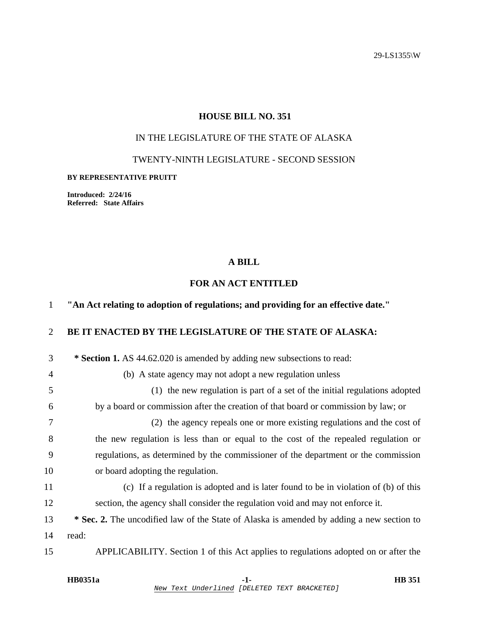29-LS1355\W

## **HOUSE BILL NO. 351**

## IN THE LEGISLATURE OF THE STATE OF ALASKA

### TWENTY-NINTH LEGISLATURE - SECOND SESSION

#### **BY REPRESENTATIVE PRUITT**

**Introduced: 2/24/16 Referred: State Affairs** 

## **A BILL**

## **FOR AN ACT ENTITLED**

# 1 **"An Act relating to adoption of regulations; and providing for an effective date."**  2 **BE IT ENACTED BY THE LEGISLATURE OF THE STATE OF ALASKA:**

| 3              | * Section 1. AS 44.62.020 is amended by adding new subsections to read:                   |
|----------------|-------------------------------------------------------------------------------------------|
| $\overline{4}$ | (b) A state agency may not adopt a new regulation unless                                  |
| 5              | (1) the new regulation is part of a set of the initial regulations adopted                |
| 6              | by a board or commission after the creation of that board or commission by law; or        |
| 7              | (2) the agency repeals one or more existing regulations and the cost of                   |
| 8              | the new regulation is less than or equal to the cost of the repealed regulation or        |
| 9              | regulations, as determined by the commissioner of the department or the commission        |
| 10             | or board adopting the regulation.                                                         |
| 11             | (c) If a regulation is adopted and is later found to be in violation of (b) of this       |
| 12             | section, the agency shall consider the regulation void and may not enforce it.            |
| 13             | * Sec. 2. The uncodified law of the State of Alaska is amended by adding a new section to |
| 14             | read:                                                                                     |
| 15             | APPLICABILITY. Section 1 of this Act applies to regulations adopted on or after the       |